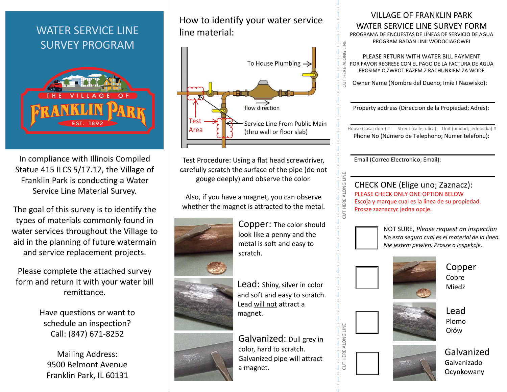# **WATER SERVICE LINE SURVEY PROGRAM**



In compliance with Illinois Compiled Statue 415 ILCS 5/17.12, the Village of Franklin Park is conducting a Water Service Line Material Survey.

The goal of this survey is to identify the types of materials commonly found in water services throughout the Village to aid in the planning of future watermain and service replacement projects.

Please complete the attached survey form and return it with your water bill remittance.

> Have questions or want to schedule an inspection? Call: (847) 671-8252

**Mailing Address:** 9500 Belmont Avenue Franklin Park, IL 60131

### How to identify your water service line material:



Test Procedure: Using a flat head screwdriver, carefully scratch the surface of the pipe (do not gouge deeply) and observe the color.

Also, if you have a magnet, you can observe whether the magnet is attracted to the metal.



Copper: The color should look like a penny and the metal is soft and easy to scratch.



Lead: Shiny, silver in color and soft and easy to scratch. Lead will not attract a magnet.

Galvanized: Dull grey in color, hard to scratch. Galvanized pipe will attract a magnet.

## VII LAGE OF FRANKLIN PARK WATER SERVICE LINE SURVEY FORM

PROGRAMA DE ENCUESTAS DE LÍNEAS DE SERVICIO DE AGUA PROGRAM BADAN LINII WODOCIAGOWEJ

PI FASE RETURN WITH WATER BILL PAYMENT POR FAVOR REGRESE CON EL PAGO DE LA FACTURA DE AGUA PROSIMY O ZWROT RAZEM Z RACHUNKIEM ZA WODE

E Owner Name (Nombre del Dueno; Imie I Nazwisko):

Property address (Direccion de la Propiedad; Adres):

House (casa; dom) # Street (calle; ulica) Unit (unidad; jednostka) # Phone No (Numero de Telephono; Numer telefonu):

Email (Correo Electronico; Email):

ALONG LINE

HERE.

CUT HERE ALONG LINE

CUT HERE ALONG LINE

#### CHECK ONE (Elige uno; Zaznacz): PLEASE CHECK ONLY ONE OPTION BELOW Escoja y marque cual es la linea de su propiedad. Prosze zaznaczyc jedna opcje.







Copper Cobre Miedź







Galvanized Galvanizado Ocynkowany